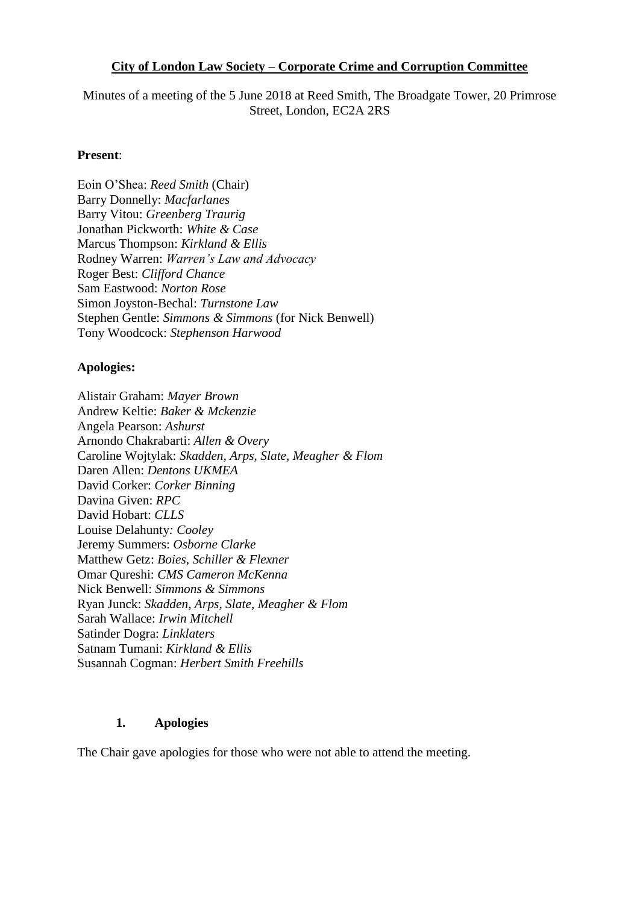#### **City of London Law Society – Corporate Crime and Corruption Committee**

Minutes of a meeting of the 5 June 2018 at Reed Smith, The Broadgate Tower, 20 Primrose Street, London, EC2A 2RS

#### **Present**:

Eoin O'Shea: *Reed Smith* (Chair) Barry Donnelly: *Macfarlanes* Barry Vitou: *Greenberg Traurig* Jonathan Pickworth: *White & Case* Marcus Thompson: *Kirkland & Ellis* Rodney Warren: *Warren's Law and Advocacy* Roger Best: *Clifford Chance* Sam Eastwood: *Norton Rose* Simon Joyston-Bechal: *Turnstone Law* Stephen Gentle: *Simmons & Simmons* (for Nick Benwell) Tony Woodcock: *Stephenson Harwood*

#### **Apologies:**

Alistair Graham: *Mayer Brown* Andrew Keltie: *Baker & Mckenzie* Angela Pearson: *Ashurst* Arnondo Chakrabarti: *Allen & Overy* Caroline Wojtylak: *Skadden, Arps, Slate, Meagher & Flom* Daren Allen: *Dentons UKMEA* David Corker: *Corker Binning* Davina Given: *RPC* David Hobart: *CLLS* Louise Delahunty*: Cooley* Jeremy Summers: *Osborne Clarke* Matthew Getz: *Boies, Schiller & Flexner* Omar Qureshi: *CMS Cameron McKenna* Nick Benwell: *Simmons & Simmons* Ryan Junck: *Skadden, Arps, Slate, Meagher & Flom* Sarah Wallace: *Irwin Mitchell* Satinder Dogra: *Linklaters* Satnam Tumani: *Kirkland & Ellis* Susannah Cogman: *Herbert Smith Freehills*

#### **1. Apologies**

The Chair gave apologies for those who were not able to attend the meeting.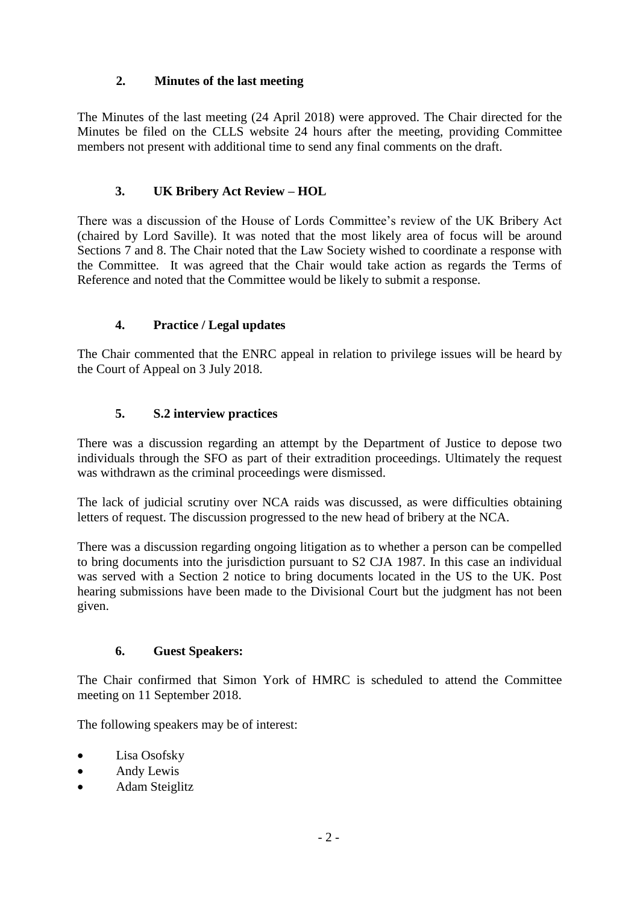## **2. Minutes of the last meeting**

The Minutes of the last meeting (24 April 2018) were approved. The Chair directed for the Minutes be filed on the CLLS website 24 hours after the meeting, providing Committee members not present with additional time to send any final comments on the draft.

## **3. UK Bribery Act Review – HOL**

There was a discussion of the House of Lords Committee's review of the UK Bribery Act (chaired by Lord Saville). It was noted that the most likely area of focus will be around Sections 7 and 8. The Chair noted that the Law Society wished to coordinate a response with the Committee. It was agreed that the Chair would take action as regards the Terms of Reference and noted that the Committee would be likely to submit a response.

## **4. Practice / Legal updates**

The Chair commented that the ENRC appeal in relation to privilege issues will be heard by the Court of Appeal on 3 July 2018.

# **5. S.2 interview practices**

There was a discussion regarding an attempt by the Department of Justice to depose two individuals through the SFO as part of their extradition proceedings. Ultimately the request was withdrawn as the criminal proceedings were dismissed.

The lack of judicial scrutiny over NCA raids was discussed, as were difficulties obtaining letters of request. The discussion progressed to the new head of bribery at the NCA.

There was a discussion regarding ongoing litigation as to whether a person can be compelled to bring documents into the jurisdiction pursuant to S2 CJA 1987. In this case an individual was served with a Section 2 notice to bring documents located in the US to the UK. Post hearing submissions have been made to the Divisional Court but the judgment has not been given.

## **6. Guest Speakers:**

The Chair confirmed that Simon York of HMRC is scheduled to attend the Committee meeting on 11 September 2018.

The following speakers may be of interest:

- Lisa Osofsky
- Andy Lewis
- Adam Steiglitz